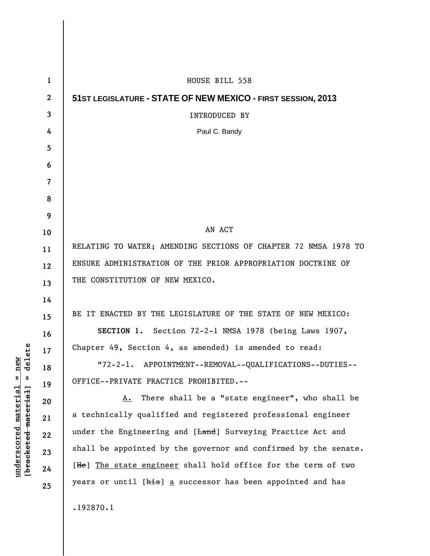| $\mathbf{1}$ | HOUSE BILL 558                                                                  |
|--------------|---------------------------------------------------------------------------------|
| $\mathbf{2}$ | 51ST LEGISLATURE - STATE OF NEW MEXICO - FIRST SESSION, 2013                    |
| 3            | <b>INTRODUCED BY</b>                                                            |
| 4            | Paul C. Bandy                                                                   |
| 5            |                                                                                 |
| 6            |                                                                                 |
| 7            |                                                                                 |
| 8            |                                                                                 |
| 9            |                                                                                 |
| 10           | AN ACT                                                                          |
| 11           | RELATING TO WATER; AMENDING SECTIONS OF CHAPTER 72 NMSA 1978 TO                 |
| 12           | ENSURE ADMINISTRATION OF THE PRIOR APPROPRIATION DOCTRINE OF                    |
| 13           | THE CONSTITUTION OF NEW MEXICO.                                                 |
| 14           |                                                                                 |
| 15           | BE IT ENACTED BY THE LEGISLATURE OF THE STATE OF NEW MEXICO:                    |
| 16           | SECTION 1. Section 72-2-1 NMSA 1978 (being Laws 1907,                           |
| 17           | Chapter 49, Section 4, as amended) is amended to read:                          |
| 18           | "72-2-1. APPOINTMENT--REMOVAL--QUALIFICATIONS--DUTIES--                         |
| 19           | OFFICE--PRIVATE PRACTICE PROHIBITED.--                                          |
| 20           | There shall be a "state engineer", who shall be<br>А.                           |
| 21           | a technically qualified and registered professional engineer                    |
| 22           | under the Engineering and [ <del>Land</del> ] Surveying Practice Act and        |
| 23           | shall be appointed by the governor and confirmed by the senate.                 |
| 24           | [He] The state engineer shall hold office for the term of two                   |
| 25           | years or until [ <del>his</del> ] <u>a</u> successor has been appointed and has |
|              | .192870.1                                                                       |

 $[**bracket**et~~eted matcherial~~] = **delete**$ **[bracketed material] = delete**  $underscored material = new$ **underscored material = new**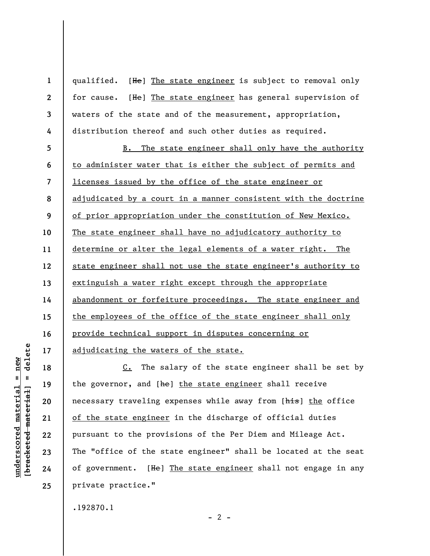qualified. [He] The state engineer is subject to removal only for cause. [He] The state engineer has general supervision of waters of the state and of the measurement, appropriation, distribution thereof and such other duties as required.

**5 6 7 8 9 10 11 12 13 14 15 16 17**  B. The state engineer shall only have the authority to administer water that is either the subject of permits and licenses issued by the office of the state engineer or adjudicated by a court in a manner consistent with the doctrine of prior appropriation under the constitution of New Mexico. The state engineer shall have no adjudicatory authority to determine or alter the legal elements of a water right. The state engineer shall not use the state engineer's authority to extinguish a water right except through the appropriate abandonment or forfeiture proceedings. The state engineer and the employees of the office of the state engineer shall only provide technical support in disputes concerning or adjudicating the waters of the state.

C. The salary of the state engineer shall be set by the governor, and [he] the state engineer shall receive necessary traveling expenses while away from [his] the office of the state engineer in the discharge of official duties pursuant to the provisions of the Per Diem and Mileage Act. The "office of the state engineer" shall be located at the seat of government. [He] The state engineer shall not engage in any private practice."

 $- 2 -$ 

.192870.1

delete **[bracketed material] = delete**  $anderscored material = new$ **underscored material = new**  $\mathbf{I}$ bracketed material

**18** 

**19** 

**20** 

**21** 

**22** 

**23** 

**24** 

**25** 

**1** 

**2** 

**3** 

**4**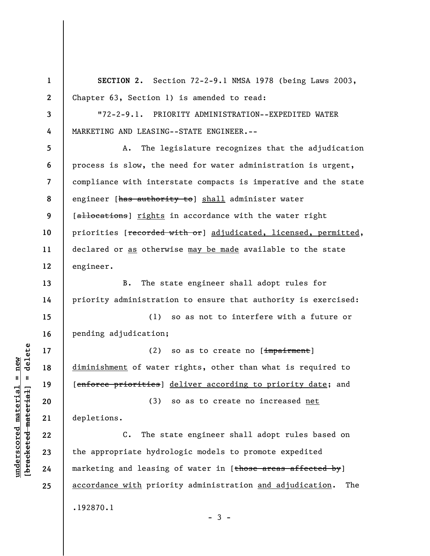**1 2 3 4 5 6 7 8 9 10 11 12 13 14 15 16 17 18 19 20 21 22 23 24 25 SECTION 2.** Section 72-2-9.1 NMSA 1978 (being Laws 2003, Chapter 63, Section 1) is amended to read: "72-2-9.1. PRIORITY ADMINISTRATION--EXPEDITED WATER MARKETING AND LEASING--STATE ENGINEER.-- A. The legislature recognizes that the adjudication process is slow, the need for water administration is urgent, compliance with interstate compacts is imperative and the state engineer [has authority to] shall administer water [allocations] rights in accordance with the water right priorities [recorded with or] adjudicated, licensed, permitted, declared or as otherwise may be made available to the state engineer. B. The state engineer shall adopt rules for priority administration to ensure that authority is exercised: (1) so as not to interfere with a future or pending adjudication; (2) so as to create no  $[\frac{impairment}{)}]$ diminishment of water rights, other than what is required to [enforce priorities] deliver according to priority date; and (3) so as to create no increased net depletions. C. The state engineer shall adopt rules based on the appropriate hydrologic models to promote expedited marketing and leasing of water in  $[t$  hose areas affected by  $\vert$ accordance with priority administration and adjudication. The .192870.1

 $\frac{1}{2}$  bracketed material] = delete **[bracketed material] = delete**  $underscored material = new$ **underscored material = new**

 $-3 -$